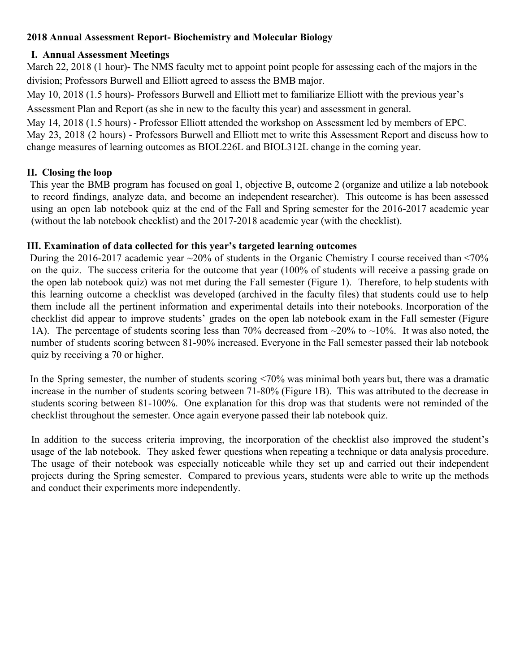# **2018 Annual Assessment Report- Biochemistry and Molecular Biology**

## **I. Annual Assessment Meetings**

March 22, 2018 (1 hour)- The NMS faculty met to appoint point people for assessing each of the majors in the division; Professors Burwell and Elliott agreed to assess the BMB major.

May 10, 2018 (1.5 hours)- Professors Burwell and Elliott met to familiarize Elliott with the previous year's Assessment Plan and Report (as she in new to the faculty this year) and assessment in general.

May 14, 2018 (1.5 hours) - Professor Elliott attended the workshop on Assessment led by members of EPC. May 23, 2018 (2 hours) - Professors Burwell and Elliott met to write this Assessment Report and discuss how to change measures of learning outcomes as BIOL226L and BIOL312L change in the coming year.

## **II. Closing the loop**

This year the BMB program has focused on goal 1, objective B, outcome 2 (organize and utilize a lab notebook to record findings, analyze data, and become an independent researcher). This outcome is has been assessed using an open lab notebook quiz at the end of the Fall and Spring semester for the 2016-2017 academic year (without the lab notebook checklist) and the 2017-2018 academic year (with the checklist).

#### **III. Examination of data collected for this year's targeted learning outcomes**

During the 2016-2017 academic year ~20% of students in the Organic Chemistry I course received than <70% on the quiz. The success criteria for the outcome that year (100% of students will receive a passing grade on the open lab notebook quiz) was not met during the Fall semester (Figure 1). Therefore, to help students with this learning outcome a checklist was developed (archived in the faculty files) that students could use to help them include all the pertinent information and experimental details into their notebooks. Incorporation of the checklist did appear to improve students' grades on the open lab notebook exam in the Fall semester (Figure 1A). The percentage of students scoring less than 70% decreased from  $\approx$ 20% to  $\sim$ 10%. It was also noted, the number of students scoring between 81-90% increased. Everyone in the Fall semester passed their lab notebook quiz by receiving a 70 or higher.

In the Spring semester, the number of students scoring <70% was minimal both years but, there was a dramatic increase in the number of students scoring between 71-80% (Figure 1B). This was attributed to the decrease in students scoring between 81-100%. One explanation for this drop was that students were not reminded of the checklist throughout the semester. Once again everyone passed their lab notebook quiz.

In addition to the success criteria improving, the incorporation of the checklist also improved the student's usage of the lab notebook. They asked fewer questions when repeating a technique or data analysis procedure. The usage of their notebook was especially noticeable while they set up and carried out their independent projects during the Spring semester. Compared to previous years, students were able to write up the methods and conduct their experiments more independently.